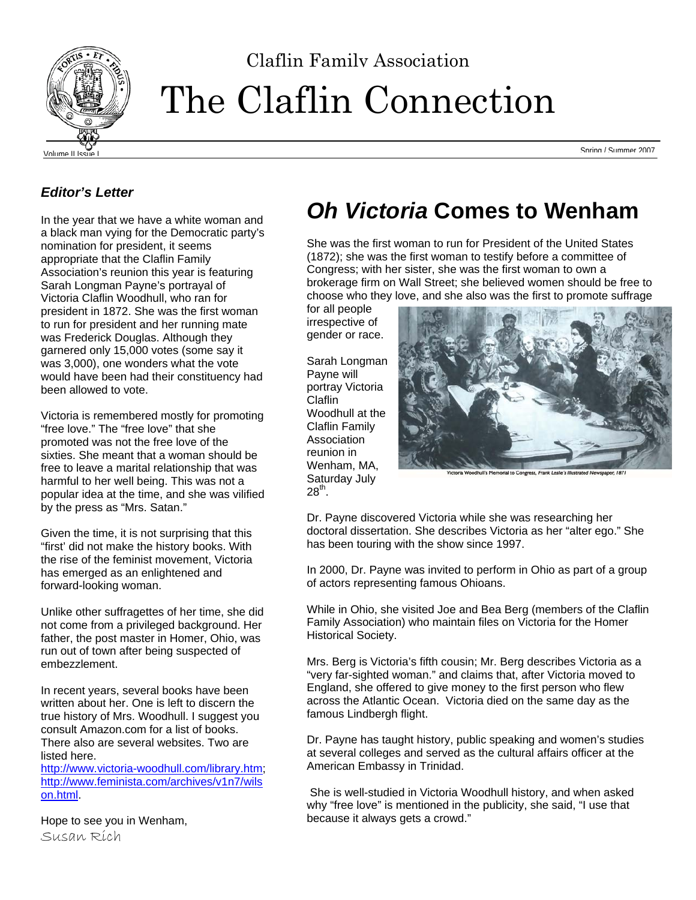

# The Claflin Connection

Volume II Issue I Spring / Summer 2007

#### *Editor's Letter*

In the year that we have a white woman and a black man vying for the Democratic party's nomination for president, it seems appropriate that the Claflin Family Association's reunion this year is featuring Sarah Longman Payne's portrayal of Victoria Claflin Woodhull, who ran for president in 1872. She was the first woman to run for president and her running mate was Frederick Douglas. Although they garnered only 15,000 votes (some say it was 3,000), one wonders what the vote would have been had their constituency had been allowed to vote.

Victoria is remembered mostly for promoting "free love." The "free love" that she promoted was not the free love of the sixties. She meant that a woman should be free to leave a marital relationship that was harmful to her well being. This was not a popular idea at the time, and she was vilified by the press as "Mrs. Satan."

Given the time, it is not surprising that this "first' did not make the history books. With the rise of the feminist movement, Victoria has emerged as an enlightened and forward-looking woman.

Unlike other suffragettes of her time, she did not come from a privileged background. Her father, the post master in Homer, Ohio, was run out of town after being suspected of embezzlement.

In recent years, several books have been written about her. One is left to discern the true history of Mrs. Woodhull. I suggest you consult Amazon.com for a list of books. There also are several websites. Two are listed here.

http://www.victoria-woodhull.com/library.htm; http://www.feminista.com/archives/v1n7/wils on.html.

Hope to see you in Wenham, Susan Rich

# *Oh Victoria* **Comes to Wenham**

She was the first woman to run for President of the United States (1872); she was the first woman to testify before a committee of Congress; with her sister, she was the first woman to own a brokerage firm on Wall Street; she believed women should be free to choose who they love, and she also was the first to promote suffrage

for all people irrespective of gender or race.

Sarah Longman Payne will portray Victoria Claflin Woodhull at the Claflin Family **Association** reunion in Wenham, MA. Saturday July  $28^{th}$ .



Dr. Payne discovered Victoria while she was researching her doctoral dissertation. She describes Victoria as her "alter ego." She has been touring with the show since 1997.

In 2000, Dr. Payne was invited to perform in Ohio as part of a group of actors representing famous Ohioans.

While in Ohio, she visited Joe and Bea Berg (members of the Claflin Family Association) who maintain files on Victoria for the Homer Historical Society.

Mrs. Berg is Victoria's fifth cousin; Mr. Berg describes Victoria as a "very far-sighted woman." and claims that, after Victoria moved to England, she offered to give money to the first person who flew across the Atlantic Ocean. Victoria died on the same day as the famous Lindbergh flight.

Dr. Payne has taught history, public speaking and women's studies at several colleges and served as the cultural affairs officer at the American Embassy in Trinidad.

 She is well-studied in Victoria Woodhull history, and when asked why "free love" is mentioned in the publicity, she said, "I use that because it always gets a crowd."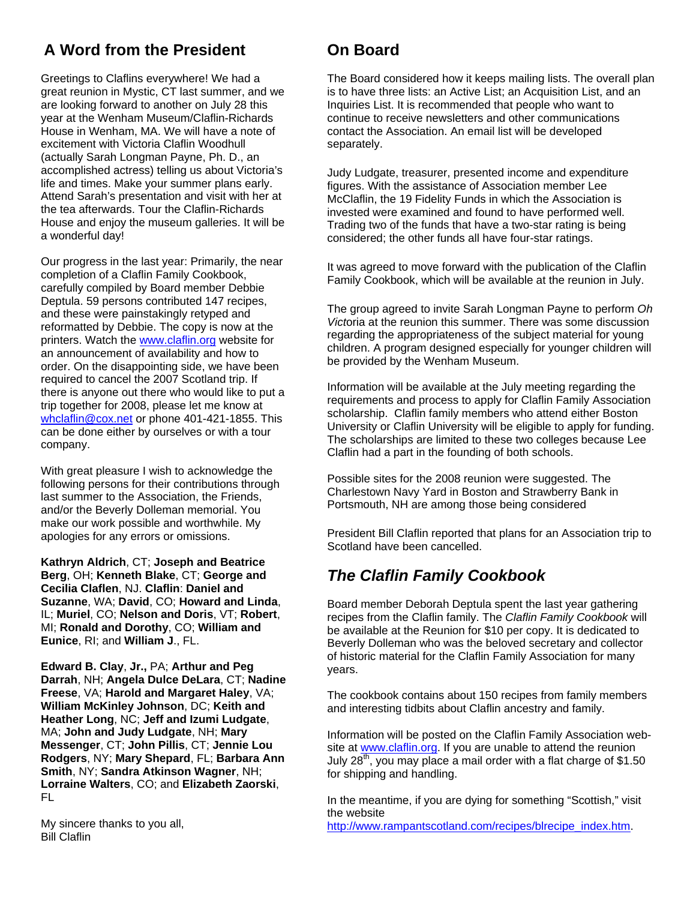## **A Word from the President**

Greetings to Claflins everywhere! We had a great reunion in Mystic, CT last summer, and we are looking forward to another on July 28 this year at the Wenham Museum/Claflin-Richards House in Wenham, MA. We will have a note of excitement with Victoria Claflin Woodhull (actually Sarah Longman Payne, Ph. D., an accomplished actress) telling us about Victoria's life and times. Make your summer plans early. Attend Sarah's presentation and visit with her at the tea afterwards. Tour the Claflin-Richards House and enjoy the museum galleries. It will be a wonderful day!

Our progress in the last year: Primarily, the near completion of a Claflin Family Cookbook, carefully compiled by Board member Debbie Deptula. 59 persons contributed 147 recipes, and these were painstakingly retyped and reformatted by Debbie. The copy is now at the printers. Watch the www.claflin.org website for an announcement of availability and how to order. On the disappointing side, we have been required to cancel the 2007 Scotland trip. If there is anyone out there who would like to put a trip together for 2008, please let me know at whclaflin@cox.net or phone 401-421-1855. This can be done either by ourselves or with a tour company.

With great pleasure I wish to acknowledge the following persons for their contributions through last summer to the Association, the Friends, and/or the Beverly Dolleman memorial. You make our work possible and worthwhile. My apologies for any errors or omissions.

**Kathryn Aldrich**, CT; **Joseph and Beatrice Berg**, OH; **Kenneth Blake**, CT; **George and Cecilia Claflen**, NJ. **Claflin**: **Daniel and Suzanne**, WA; **David**, CO; **Howard and Linda**, IL; **Muriel**, CO; **Nelson and Doris**, VT; **Robert**, MI; **Ronald and Dorothy**, CO; **William and Eunice**, RI; and **William J**., FL.

**Edward B. Clay**, **Jr.,** PA; **Arthur and Peg Darrah**, NH; **Angela Dulce DeLara**, CT; **Nadine Freese**, VA; **Harold and Margaret Haley**, VA; **William McKinley Johnson**, DC; **Keith and Heather Long**, NC; **Jeff and Izumi Ludgate**, MA; **John and Judy Ludgate**, NH; **Mary Messenger**, CT; **John Pillis**, CT; **Jennie Lou Rodgers**, NY; **Mary Shepard**, FL; **Barbara Ann Smith**, NY; **Sandra Atkinson Wagner**, NH; **Lorraine Walters**, CO; and **Elizabeth Zaorski**, FL

My sincere thanks to you all, Bill Claflin

## **On Board**

The Board considered how it keeps mailing lists. The overall plan is to have three lists: an Active List; an Acquisition List, and an Inquiries List. It is recommended that people who want to continue to receive newsletters and other communications contact the Association. An email list will be developed separately.

Judy Ludgate, treasurer, presented income and expenditure figures. With the assistance of Association member Lee McClaflin, the 19 Fidelity Funds in which the Association is invested were examined and found to have performed well. Trading two of the funds that have a two-star rating is being considered; the other funds all have four-star ratings.

It was agreed to move forward with the publication of the Claflin Family Cookbook, which will be available at the reunion in July.

The group agreed to invite Sarah Longman Payne to perform *Oh Vict*oria at the reunion this summer. There was some discussion regarding the appropriateness of the subject material for young children. A program designed especially for younger children will be provided by the Wenham Museum.

Information will be available at the July meeting regarding the requirements and process to apply for Claflin Family Association scholarship. Claflin family members who attend either Boston University or Claflin University will be eligible to apply for funding. The scholarships are limited to these two colleges because Lee Claflin had a part in the founding of both schools.

Possible sites for the 2008 reunion were suggested. The Charlestown Navy Yard in Boston and Strawberry Bank in Portsmouth, NH are among those being considered

President Bill Claflin reported that plans for an Association trip to Scotland have been cancelled.

### *The Claflin Family Cookbook*

Board member Deborah Deptula spent the last year gathering recipes from the Claflin family. The *Claflin Family Cookbook* will be available at the Reunion for \$10 per copy. It is dedicated to Beverly Dolleman who was the beloved secretary and collector of historic material for the Claflin Family Association for many years.

The cookbook contains about 150 recipes from family members and interesting tidbits about Claflin ancestry and family.

Information will be posted on the Claflin Family Association website at www.claflin.org. If you are unable to attend the reunion July  $28<sup>th</sup>$ , you may place a mail order with a flat charge of \$1.50 for shipping and handling.

In the meantime, if you are dying for something "Scottish," visit the website http://www.rampantscotland.com/recipes/blrecipe\_index.htm.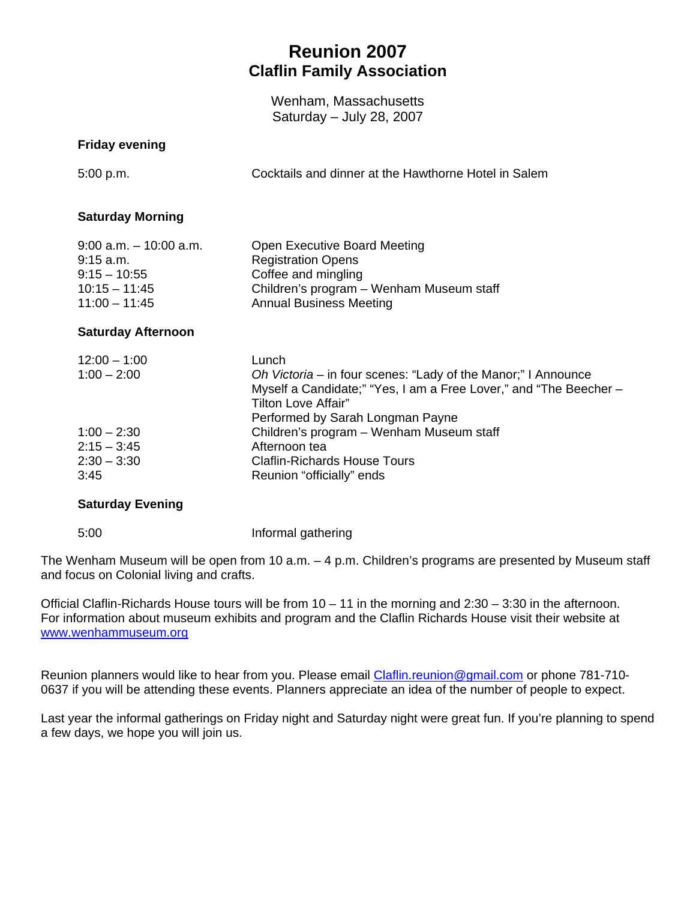## **Reunion 2007 Claflin Family Association**

Wenham, Massachusetts Saturday – July 28, 2007

#### **Friday evening**

5:00 p.m. Cocktails and dinner at the Hawthorne Hotel in Salem

#### **Saturday Morning**

| $9:00$ a.m. $-10:00$ a.m. | Open Executive Board Meeting             |
|---------------------------|------------------------------------------|
| $9:15$ a.m.               | <b>Registration Opens</b>                |
| $9:15 - 10:55$            | Coffee and mingling                      |
| $10:15 - 11:45$           | Children's program – Wenham Museum staff |
| $11:00 - 11:45$           | <b>Annual Business Meeting</b>           |

#### **Saturday Afternoon**

| Lunch                                                             |
|-------------------------------------------------------------------|
| Oh Victoria – in four scenes: "Lady of the Manor;" I Announce     |
| Myself a Candidate;" "Yes, I am a Free Lover," and "The Beecher - |
| Tilton Love Affair"                                               |
| Performed by Sarah Longman Payne                                  |
| Children's program - Wenham Museum staff                          |
| Afternoon tea                                                     |
| <b>Claflin-Richards House Tours</b>                               |
| Reunion "officially" ends                                         |
|                                                                   |

#### **Saturday Evening**

5:00 Informal gathering

The Wenham Museum will be open from 10 a.m. – 4 p.m. Children's programs are presented by Museum staff and focus on Colonial living and crafts.

Official Claflin-Richards House tours will be from 10 – 11 in the morning and 2:30 – 3:30 in the afternoon. For information about museum exhibits and program and the Claflin Richards House visit their website at www.wenhammuseum.org

Reunion planners would like to hear from you. Please email Claflin.reunion@gmail.com or phone 781-710-0637 if you will be attending these events. Planners appreciate an idea of the number of people to expect.

Last year the informal gatherings on Friday night and Saturday night were great fun. If you're planning to spend a few days, we hope you will join us.